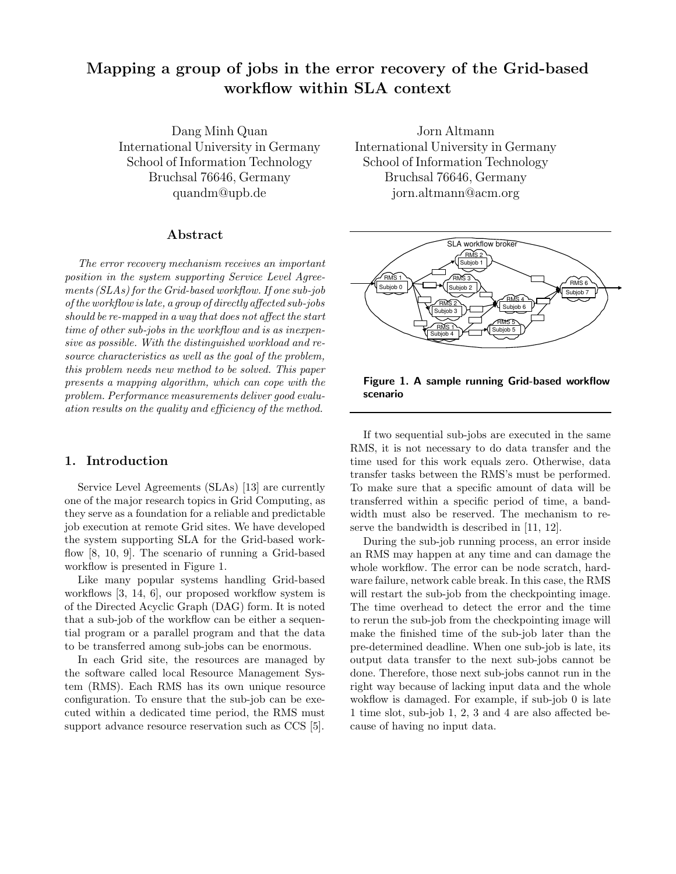# Mapping a group of jobs in the error recovery of the Grid-based workflow within SLA context

Dang Minh Quan International University in Germany School of Information Technology Bruchsal 76646, Germany quandm@upb.de

## Abstract

The error recovery mechanism receives an important position in the system supporting Service Level Agreements (SLAs) for the Grid-based workflow. If one sub-job of the workflow is late, a group of directly affected sub-jobs should be re-mapped in a way that does not affect the start time of other sub-jobs in the workflow and is as inexpensive as possible. With the distinguished workload and resource characteristics as well as the goal of the problem, this problem needs new method to be solved. This paper presents a mapping algorithm, which can cope with the problem. Performance measurements deliver good evaluation results on the quality and efficiency of the method.

# 1. Introduction

Service Level Agreements (SLAs) [13] are currently one of the major research topics in Grid Computing, as they serve as a foundation for a reliable and predictable job execution at remote Grid sites. We have developed the system supporting SLA for the Grid-based workflow [8, 10, 9]. The scenario of running a Grid-based workflow is presented in Figure 1.

Like many popular systems handling Grid-based workflows [3, 14, 6], our proposed workflow system is of the Directed Acyclic Graph (DAG) form. It is noted that a sub-job of the workflow can be either a sequential program or a parallel program and that the data to be transferred among sub-jobs can be enormous.

In each Grid site, the resources are managed by the software called local Resource Management System (RMS). Each RMS has its own unique resource configuration. To ensure that the sub-job can be executed within a dedicated time period, the RMS must support advance resource reservation such as CCS [5].

Jorn Altmann International University in Germany School of Information Technology Bruchsal 76646, Germany jorn.altmann@acm.org



Figure 1. A sample running Grid-based workflow scenario

If two sequential sub-jobs are executed in the same RMS, it is not necessary to do data transfer and the time used for this work equals zero. Otherwise, data transfer tasks between the RMS's must be performed. To make sure that a specific amount of data will be transferred within a specific period of time, a bandwidth must also be reserved. The mechanism to reserve the bandwidth is described in [11, 12].

During the sub-job running process, an error inside an RMS may happen at any time and can damage the whole workflow. The error can be node scratch, hardware failure, network cable break. In this case, the RMS will restart the sub-job from the checkpointing image. The time overhead to detect the error and the time to rerun the sub-job from the checkpointing image will make the finished time of the sub-job later than the pre-determined deadline. When one sub-job is late, its output data transfer to the next sub-jobs cannot be done. Therefore, those next sub-jobs cannot run in the right way because of lacking input data and the whole wokflow is damaged. For example, if sub-job 0 is late 1 time slot, sub-job 1, 2, 3 and 4 are also affected because of having no input data.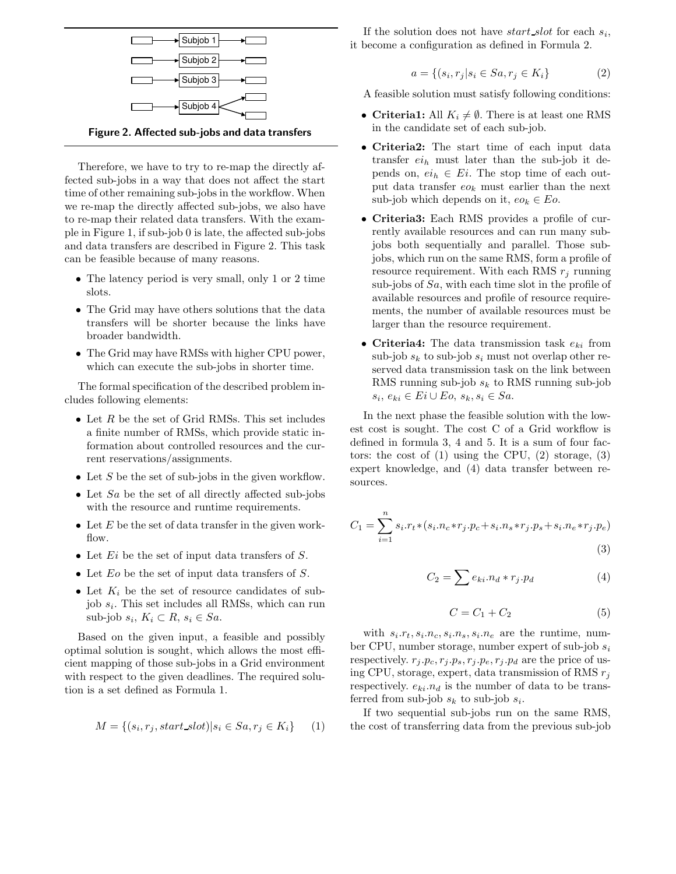

Therefore, we have to try to re-map the directly affected sub-jobs in a way that does not affect the start time of other remaining sub-jobs in the workflow. When we re-map the directly affected sub-jobs, we also have to re-map their related data transfers. With the example in Figure 1, if sub-job 0 is late, the affected sub-jobs and data transfers are described in Figure 2. This task can be feasible because of many reasons.

- The latency period is very small, only 1 or 2 time slots.
- The Grid may have others solutions that the data transfers will be shorter because the links have broader bandwidth.
- The Grid may have RMSs with higher CPU power, which can execute the sub-jobs in shorter time.

The formal specification of the described problem includes following elements:

- Let  $R$  be the set of Grid RMSs. This set includes a finite number of RMSs, which provide static information about controlled resources and the current reservations/assignments.
- Let S be the set of sub-jobs in the given workflow.
- Let  $Sa$  be the set of all directly affected sub-jobs with the resource and runtime requirements.
- Let  $E$  be the set of data transfer in the given workflow.
- Let  $E_i$  be the set of input data transfers of S.
- Let  $E_0$  be the set of input data transfers of S.
- Let  $K_i$  be the set of resource candidates of subjob  $s_i$ . This set includes all RMSs, which can run sub-job  $s_i, K_i \subset R, s_i \in Sa.$

Based on the given input, a feasible and possibly optimal solution is sought, which allows the most efficient mapping of those sub-jobs in a Grid environment with respect to the given deadlines. The required solution is a set defined as Formula 1.

$$
M = \{(s_i, r_j, start\_slot)| s_i \in Sa, r_j \in K_i\} \tag{1}
$$

If the solution does not have  $start\_slot$  for each  $s_i$ , it become a configuration as defined in Formula 2.

$$
a = \{(s_i, r_j | s_i \in Sa, r_j \in K_i\}
$$
\n<sup>(2)</sup>

A feasible solution must satisfy following conditions:

- Criteria1: All  $K_i \neq \emptyset$ . There is at least one RMS in the candidate set of each sub-job.
- Criteria2: The start time of each input data transfer  $ei_h$  must later than the sub-job it depends on,  $ei_h \in E_i$ . The stop time of each output data transfer  $eo_k$  must earlier than the next sub-job which depends on it,  $eo_k \in E_o$ .
- Criteria3: Each RMS provides a profile of currently available resources and can run many subjobs both sequentially and parallel. Those subjobs, which run on the same RMS, form a profile of resource requirement. With each RMS  $r_i$  running sub-jobs of  $Sa$ , with each time slot in the profile of available resources and profile of resource requirements, the number of available resources must be larger than the resource requirement.
- Criteria4: The data transmission task  $e_{ki}$  from sub-job  $s_k$  to sub-job  $s_i$  must not overlap other reserved data transmission task on the link between RMS running sub-job  $s_k$  to RMS running sub-job  $s_i, e_{ki} \in E_i \cup E_o, s_k, s_i \in Sa.$

In the next phase the feasible solution with the lowest cost is sought. The cost C of a Grid workflow is defined in formula 3, 4 and 5. It is a sum of four factors: the cost of  $(1)$  using the CPU,  $(2)$  storage,  $(3)$ expert knowledge, and (4) data transfer between resources.

$$
C_1 = \sum_{i=1}^{n} s_i r_t * (s_i n_c * r_j \cdot p_c + s_i n_s * r_j \cdot p_s + s_i n_e * r_j \cdot p_e)
$$
\n(3)

$$
C_2 = \sum e_{ki}.n_d * r_j.p_d \tag{4}
$$

$$
C = C_1 + C_2 \tag{5}
$$

with  $s_i.r_t, s_i.n_c, s_i.n_s, s_i.n_e$  are the runtime, number CPU, number storage, number expert of sub-job  $s_i$ respectively.  $r_j \cdot p_c, r_j \cdot p_s, r_j \cdot p_e, r_j \cdot p_d$  are the price of using CPU, storage, expert, data transmission of RMS  $r_j$ respectively.  $e_{ki}.n_d$  is the number of data to be transferred from sub-job  $s_k$  to sub-job  $s_i$ .

If two sequential sub-jobs run on the same RMS, the cost of transferring data from the previous sub-job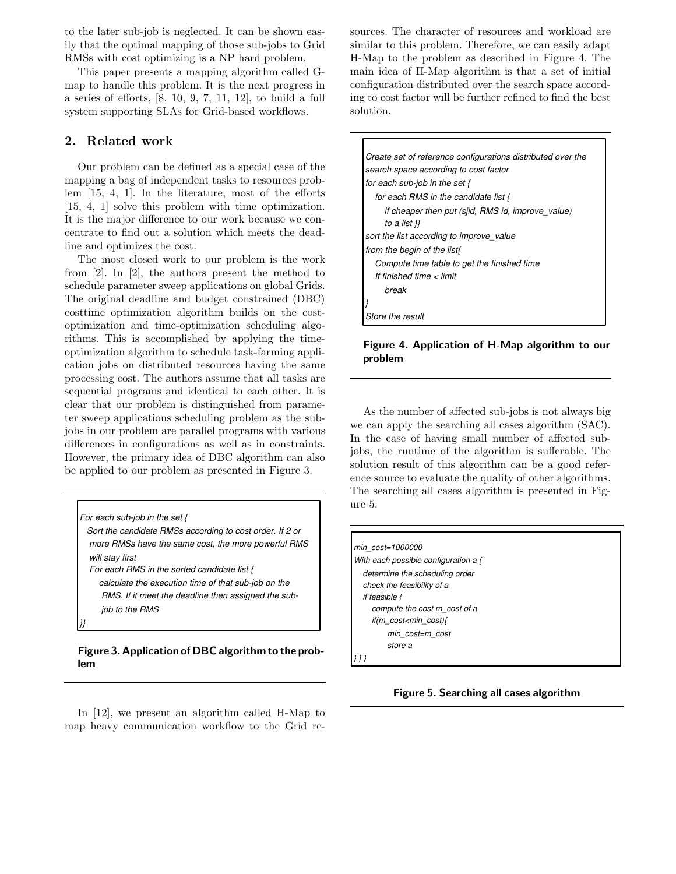to the later sub-job is neglected. It can be shown easily that the optimal mapping of those sub-jobs to Grid RMSs with cost optimizing is a NP hard problem.

This paper presents a mapping algorithm called Gmap to handle this problem. It is the next progress in a series of efforts, [8, 10, 9, 7, 11, 12], to build a full system supporting SLAs for Grid-based workflows.

## 2. Related work

Our problem can be defined as a special case of the mapping a bag of independent tasks to resources problem [15, 4, 1]. In the literature, most of the efforts [15, 4, 1] solve this problem with time optimization. It is the major difference to our work because we concentrate to find out a solution which meets the deadline and optimizes the cost.

The most closed work to our problem is the work from [2]. In [2], the authors present the method to schedule parameter sweep applications on global Grids. The original deadline and budget constrained (DBC) costtime optimization algorithm builds on the costoptimization and time-optimization scheduling algorithms. This is accomplished by applying the timeoptimization algorithm to schedule task-farming application jobs on distributed resources having the same processing cost. The authors assume that all tasks are sequential programs and identical to each other. It is clear that our problem is distinguished from parameter sweep applications scheduling problem as the subjobs in our problem are parallel programs with various differences in configurations as well as in constraints. However, the primary idea of DBC algorithm can also be applied to our problem as presented in Figure 3.

*For each sub-job in the set { Sort the candidate RMSs according to cost order. If 2 or more RMSs have the same cost, the more powerful RMS will stay first For each RMS in the sorted candidate list {* 

 *calculate the execution time of that sub-job on the RMS. If it meet the deadline then assigned the sub job to the RMS* 

*}}* 

## Figure 3. Application of DBC algorithm to the problem

In [12], we present an algorithm called H-Map to map heavy communication workflow to the Grid resources. The character of resources and workload are similar to this problem. Therefore, we can easily adapt H-Map to the problem as described in Figure 4. The main idea of H-Map algorithm is that a set of initial configuration distributed over the search space according to cost factor will be further refined to find the best solution.

| Create set of reference configurations distributed over the |
|-------------------------------------------------------------|
| search space according to cost factor                       |
| for each sub-job in the set $\{$                            |
| for each RMS in the candidate list {                        |
| if cheaper then put (sjid, RMS id, improve value)           |
| to a list }}                                                |
| sort the list according to improve_value                    |
| from the begin of the list{                                 |
| Compute time table to get the finished time                 |
| If finished time < limit                                    |
| hreak                                                       |
|                                                             |
| Store the result                                            |

## Figure 4. Application of H-Map algorithm to our problem

As the number of affected sub-jobs is not always big we can apply the searching all cases algorithm (SAC). In the case of having small number of affected subjobs, the runtime of the algorithm is sufferable. The solution result of this algorithm can be a good reference source to evaluate the quality of other algorithms. The searching all cases algorithm is presented in Figure 5.

| min cost=1000000                       |
|----------------------------------------|
| With each possible configuration a {   |
| determine the scheduling order         |
| check the feasibility of a             |
| if feasible $\{$                       |
| compute the cost m cost of a           |
| if(m cost <min cost){<="" th=""></min> |
| min cost=m cost                        |
| store a                                |
|                                        |

Figure 5. Searching all cases algorithm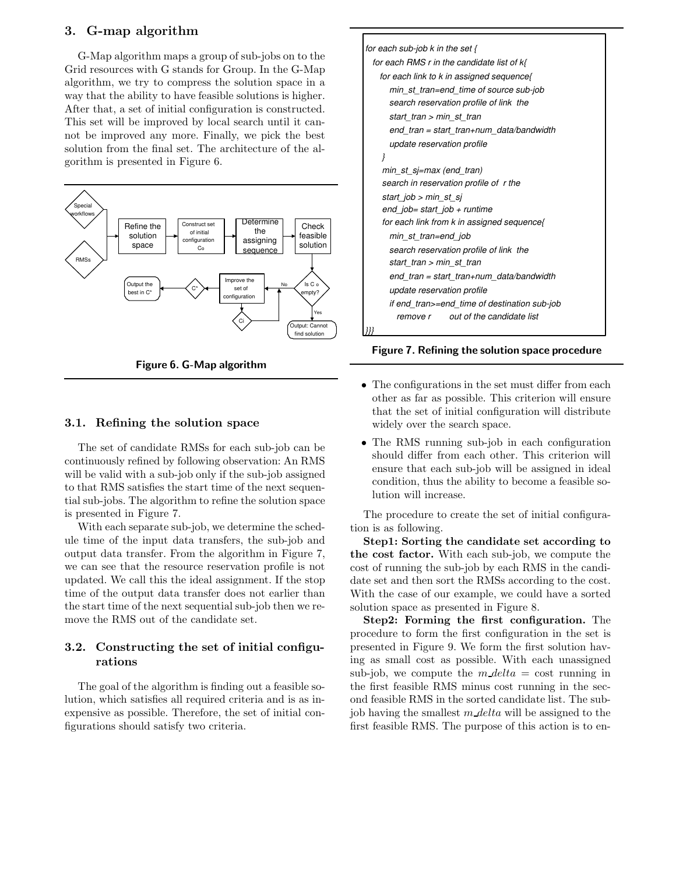# 3. G-map algorithm

G-Map algorithm maps a group of sub-jobs on to the Grid resources with G stands for Group. In the G-Map algorithm, we try to compress the solution space in a way that the ability to have feasible solutions is higher. After that, a set of initial configuration is constructed. This set will be improved by local search until it cannot be improved any more. Finally, we pick the best solution from the final set. The architecture of the algorithm is presented in Figure 6.



Figure 6. G-Map algorithm

#### 3.1. Refining the solution space

The set of candidate RMSs for each sub-job can be continuously refined by following observation: An RMS will be valid with a sub-job only if the sub-job assigned to that RMS satisfies the start time of the next sequential sub-jobs. The algorithm to refine the solution space is presented in Figure 7.

With each separate sub-job, we determine the schedule time of the input data transfers, the sub-job and output data transfer. From the algorithm in Figure 7, we can see that the resource reservation profile is not updated. We call this the ideal assignment. If the stop time of the output data transfer does not earlier than the start time of the next sequential sub-job then we remove the RMS out of the candidate set.

# 3.2. Constructing the set of initial configurations

The goal of the algorithm is finding out a feasible solution, which satisfies all required criteria and is as inexpensive as possible. Therefore, the set of initial configurations should satisfy two criteria.



Figure 7. Refining the solution space procedure

- The configurations in the set must differ from each other as far as possible. This criterion will ensure that the set of initial configuration will distribute widely over the search space.
- The RMS running sub-job in each configuration should differ from each other. This criterion will ensure that each sub-job will be assigned in ideal condition, thus the ability to become a feasible solution will increase.

The procedure to create the set of initial configuration is as following.

Step1: Sorting the candidate set according to the cost factor. With each sub-job, we compute the cost of running the sub-job by each RMS in the candidate set and then sort the RMSs according to the cost. With the case of our example, we could have a sorted solution space as presented in Figure 8.

Step2: Forming the first configuration. The procedure to form the first configuration in the set is presented in Figure 9. We form the first solution having as small cost as possible. With each unassigned sub-job, we compute the  $m$  delta = cost running in the first feasible RMS minus cost running in the second feasible RMS in the sorted candidate list. The subjob having the smallest  $m$  delta will be assigned to the first feasible RMS. The purpose of this action is to en-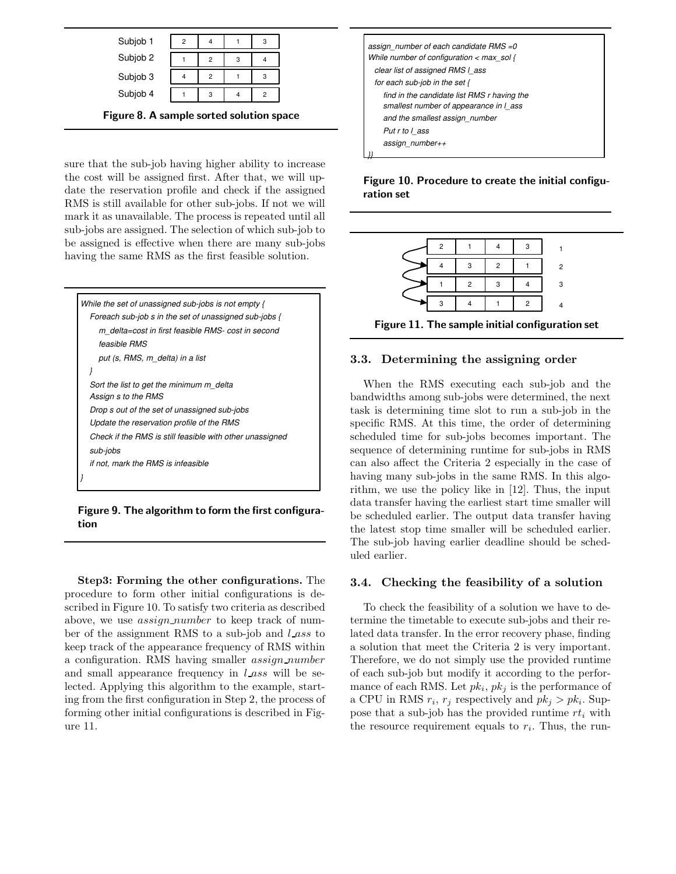| Subjob 1 | 2 |   | 3 |  |
|----------|---|---|---|--|
| Subjob 2 |   | 2 |   |  |
| Subjob 3 |   | 2 |   |  |
| Subjob 4 |   | 3 | 2 |  |
|          |   |   |   |  |

Figure 8. A sample sorted solution space

sure that the sub-job having higher ability to increase the cost will be assigned first. After that, we will update the reservation profile and check if the assigned RMS is still available for other sub-jobs. If not we will mark it as unavailable. The process is repeated until all sub-jobs are assigned. The selection of which sub-job to be assigned is effective when there are many sub-jobs having the same RMS as the first feasible solution.



Figure 9. The algorithm to form the first configuration

Step3: Forming the other configurations. The procedure to form other initial configurations is described in Figure 10. To satisfy two criteria as described above, we use *assign\_number* to keep track of number of the assignment RMS to a sub-job and *lass* to keep track of the appearance frequency of RMS within a configuration. RMS having smaller assign number and small appearance frequency in  $l$  ass will be selected. Applying this algorithm to the example, starting from the first configuration in Step 2, the process of forming other initial configurations is described in Figure 11.

| assign number of each candidate RMS =0<br>While number of configuration $\lt$ max sol {<br>clear list of assigned RMS I ass |  |  |  |  |  |  |
|-----------------------------------------------------------------------------------------------------------------------------|--|--|--|--|--|--|
| for each sub-job in the set $\{$                                                                                            |  |  |  |  |  |  |
| find in the candidate list RMS r having the<br>smallest number of appearance in I ass                                       |  |  |  |  |  |  |
| and the smallest assign number                                                                                              |  |  |  |  |  |  |
| Put r to l ass                                                                                                              |  |  |  |  |  |  |
| assign number++                                                                                                             |  |  |  |  |  |  |
|                                                                                                                             |  |  |  |  |  |  |

Figure 10. Procedure to create the initial configuration set

|  |  | 2 |
|--|--|---|
|  |  | R |
|  |  |   |

Figure 11. The sample initial configuration set

## 3.3. Determining the assigning order

When the RMS executing each sub-job and the bandwidths among sub-jobs were determined, the next task is determining time slot to run a sub-job in the specific RMS. At this time, the order of determining scheduled time for sub-jobs becomes important. The sequence of determining runtime for sub-jobs in RMS can also affect the Criteria 2 especially in the case of having many sub-jobs in the same RMS. In this algorithm, we use the policy like in [12]. Thus, the input data transfer having the earliest start time smaller will be scheduled earlier. The output data transfer having the latest stop time smaller will be scheduled earlier. The sub-job having earlier deadline should be scheduled earlier.

## 3.4. Checking the feasibility of a solution

To check the feasibility of a solution we have to determine the timetable to execute sub-jobs and their related data transfer. In the error recovery phase, finding a solution that meet the Criteria 2 is very important. Therefore, we do not simply use the provided runtime of each sub-job but modify it according to the performance of each RMS. Let  $pk_i$ ,  $pk_j$  is the performance of a CPU in RMS  $r_i$ ,  $r_j$  respectively and  $pk_j > pk_i$ . Suppose that a sub-job has the provided runtime  $rt_i$  with the resource requirement equals to  $r_i$ . Thus, the run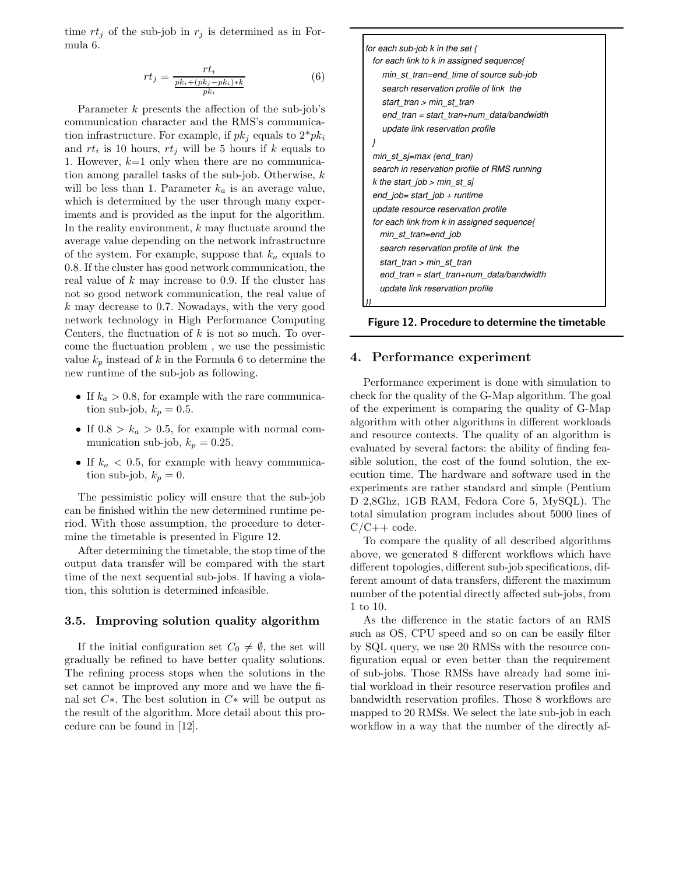time  $rt_j$  of the sub-job in  $r_j$  is determined as in Formula 6.

$$
rt_j = \frac{rt_i}{\frac{pk_i + (pk_j - pk_i) * k}{pk_i}}
$$
(6)

Parameter k presents the affection of the sub-job's communication character and the RMS's communication infrastructure. For example, if  $pk_i$  equals to  $2^*pk_i$ and  $rt_i$  is 10 hours,  $rt_j$  will be 5 hours if k equals to 1. However,  $k=1$  only when there are no communication among parallel tasks of the sub-job. Otherwise, k will be less than 1. Parameter  $k_a$  is an average value, which is determined by the user through many experiments and is provided as the input for the algorithm. In the reality environment,  $k$  may fluctuate around the average value depending on the network infrastructure of the system. For example, suppose that  $k_a$  equals to 0.8. If the cluster has good network communication, the real value of  $k$  may increase to 0.9. If the cluster has not so good network communication, the real value of k may decrease to 0.7. Nowadays, with the very good network technology in High Performance Computing Centers, the fluctuation of  $k$  is not so much. To overcome the fluctuation problem , we use the pessimistic value  $k_p$  instead of k in the Formula 6 to determine the new runtime of the sub-job as following.

- If  $k_a > 0.8$ , for example with the rare communication sub-job,  $k_p = 0.5$ .
- If  $0.8 > k_a > 0.5$ , for example with normal communication sub-job,  $k_p = 0.25$ .
- If  $k_a < 0.5$ , for example with heavy communication sub-job,  $k_p = 0$ .

The pessimistic policy will ensure that the sub-job can be finished within the new determined runtime period. With those assumption, the procedure to determine the timetable is presented in Figure 12.

After determining the timetable, the stop time of the output data transfer will be compared with the start time of the next sequential sub-jobs. If having a violation, this solution is determined infeasible.

#### 3.5. Improving solution quality algorithm

If the initial configuration set  $C_0 \neq \emptyset$ , the set will gradually be refined to have better quality solutions. The refining process stops when the solutions in the set cannot be improved any more and we have the final set C∗. The best solution in C∗ will be output as the result of the algorithm. More detail about this procedure can be found in [12].



Figure 12. Procedure to determine the timetable

## 4. Performance experiment

Performance experiment is done with simulation to check for the quality of the G-Map algorithm. The goal of the experiment is comparing the quality of G-Map algorithm with other algorithms in different workloads and resource contexts. The quality of an algorithm is evaluated by several factors: the ability of finding feasible solution, the cost of the found solution, the execution time. The hardware and software used in the experiments are rather standard and simple (Pentium D 2,8Ghz, 1GB RAM, Fedora Core 5, MySQL). The total simulation program includes about 5000 lines of  $C/C++code$ .

To compare the quality of all described algorithms above, we generated 8 different workflows which have different topologies, different sub-job specifications, different amount of data transfers, different the maximum number of the potential directly affected sub-jobs, from 1 to 10.

As the difference in the static factors of an RMS such as OS, CPU speed and so on can be easily filter by SQL query, we use 20 RMSs with the resource configuration equal or even better than the requirement of sub-jobs. Those RMSs have already had some initial workload in their resource reservation profiles and bandwidth reservation profiles. Those 8 workflows are mapped to 20 RMSs. We select the late sub-job in each workflow in a way that the number of the directly af-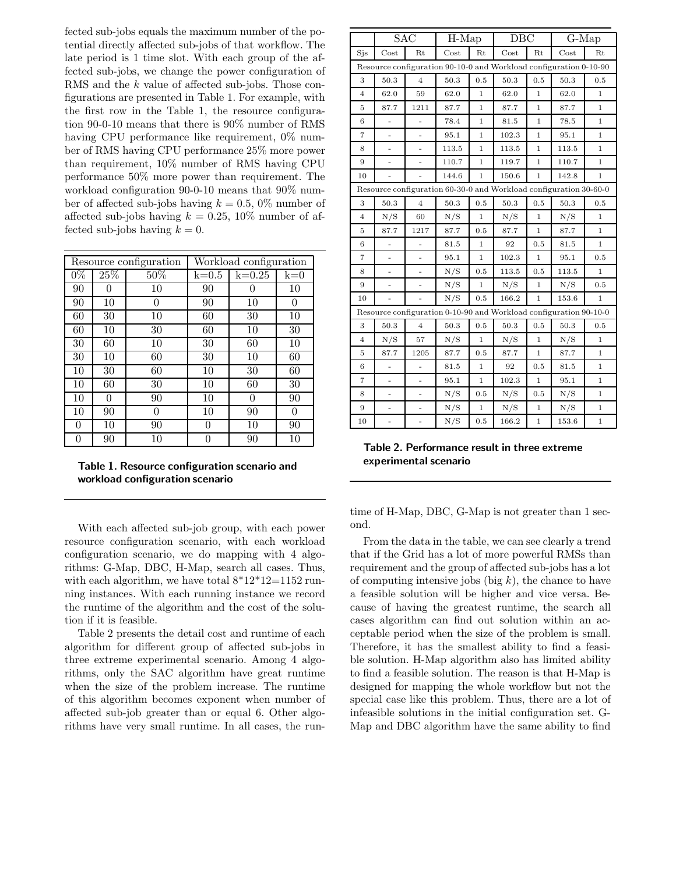fected sub-jobs equals the maximum number of the potential directly affected sub-jobs of that workflow. The late period is 1 time slot. With each group of the affected sub-jobs, we change the power configuration of RMS and the k value of affected sub-jobs. Those configurations are presented in Table 1. For example, with the first row in the Table 1, the resource configuration 90-0-10 means that there is 90% number of RMS having CPU performance like requirement,  $0\%$  number of RMS having CPU performance 25% more power than requirement, 10% number of RMS having CPU performance 50% more power than requirement. The workload configuration 90-0-10 means that 90% number of affected sub-jobs having  $k = 0.5, 0\%$  number of affected sub-jobs having  $k = 0.25, 10\%$  number of affected sub-jobs having  $k = 0$ .

|       |          | Resource configuration | Workload configuration |            |          |  |
|-------|----------|------------------------|------------------------|------------|----------|--|
| $0\%$ | 25%      | 50%                    | $k=0.5$                | $k = 0.25$ | $k=0$    |  |
| 90    | $\Omega$ | 10                     | 90                     | 0          | 10       |  |
| 90    | 10       | 0                      | 90                     | 10         | $\Omega$ |  |
| 60    | 30       | 10                     | 60                     | 30         | 10       |  |
| 60    | 10       | 30                     | 60                     | 10         | 30       |  |
| 30    | 60       | 10                     | 30                     | 60         | 10       |  |
| 30    | 10       | 60                     | 30                     | 10         | 60       |  |
| 10    | 30       | 60                     | 10                     | 30         | 60       |  |
| 10    | 60       | 30                     | 10                     | 60         | 30       |  |
| 10    | $\theta$ | 90                     | 10                     | 0          | 90       |  |
| 10    | 90       | 0                      | 10                     | 90         | $\theta$ |  |
| 0     | 10       | 90                     | $\theta$               | 10         | 90       |  |
| 0     | 90       | 10                     |                        | 90         | 10       |  |

Table 1. Resource configuration scenario and workload configuration scenario

With each affected sub-job group, with each power resource configuration scenario, with each workload configuration scenario, we do mapping with 4 algorithms: G-Map, DBC, H-Map, search all cases. Thus, with each algorithm, we have total  $8*12*12=1152$  running instances. With each running instance we record the runtime of the algorithm and the cost of the solution if it is feasible.

Table 2 presents the detail cost and runtime of each algorithm for different group of affected sub-jobs in three extreme experimental scenario. Among 4 algorithms, only the SAC algorithm have great runtime when the size of the problem increase. The runtime of this algorithm becomes exponent when number of affected sub-job greater than or equal 6. Other algorithms have very small runtime. In all cases, the run-

|                                                                   | SAC                      |                          | $\overline{H}$ -Map |              | $\overline{DBC}$                                                  |              | $\overline{G}$ -Map |              |  |
|-------------------------------------------------------------------|--------------------------|--------------------------|---------------------|--------------|-------------------------------------------------------------------|--------------|---------------------|--------------|--|
| Sjs                                                               | Cost                     | Rt                       | Cost                | Rt           | Cost                                                              | Rt           | Cost                | Rt           |  |
| Resource configuration 90-10-0 and Workload configuration 0-10-90 |                          |                          |                     |              |                                                                   |              |                     |              |  |
| 3                                                                 | 50.3                     | $\overline{4}$           | 50.3                | $\rm 0.5$    | 50.3                                                              | 0.5          | 50.3                | 0.5          |  |
| $\overline{4}$                                                    | 62.0                     | 59                       | 62.0                | $\mathbf{1}$ | 62.0                                                              | $\mathbf{1}$ | 62.0                | $\mathbf{1}$ |  |
| 5                                                                 | 87.7                     | 1211                     | 87.7                | $\mathbf{1}$ | 87.7                                                              | $\mathbf{1}$ | 87.7                | 1            |  |
| 6                                                                 | -                        |                          | 78.4                | $\mathbf{1}$ | 81.5                                                              | $\mathbf{1}$ | 78.5                | $\mathbf{1}$ |  |
| $\overline{7}$                                                    | ÷,                       |                          | 95.1                | 1            | 102.3                                                             | $\mathbf{1}$ | 95.1                | 1            |  |
| 8                                                                 | ÷,                       | $\frac{1}{2}$            | 113.5               | $\mathbf{1}$ | 113.5                                                             | $\mathbf{1}$ | 113.5               | 1            |  |
| 9                                                                 |                          |                          | 110.7               | $\mathbf{1}$ | 119.7                                                             | $\mathbf{1}$ | 110.7               | $\mathbf 1$  |  |
| 10                                                                |                          |                          | 144.6               | 1            | 150.6                                                             | 1            | 142.8               | 1            |  |
|                                                                   |                          |                          |                     |              | Resource configuration 60-30-0 and Workload configuration 30-60-0 |              |                     |              |  |
| 3                                                                 | 50.3                     | $\sqrt{4}$               | 50.3                | 0.5          | 50.3                                                              | 0.5          | 50.3                | 0.5          |  |
| $\overline{4}$                                                    | N/S                      | 60                       | N/S                 | $\mathbf{1}$ | N/S                                                               | $\mathbf{1}$ | N/S                 | $\mathbf{1}$ |  |
| 5                                                                 | 87.7                     | 1217                     | 87.7                | 0.5          | 87.7                                                              | $\mathbf{1}$ | 87.7                | $\mathbf{1}$ |  |
| 6                                                                 | -                        |                          | 81.5                | $\mathbf 1$  | 92                                                                | 0.5          | 81.5                | $\mathbf{1}$ |  |
| $\overline{7}$                                                    |                          |                          | 95.1                | $\mathbf{1}$ | 102.3                                                             | $1\,$        | 95.1                | 0.5          |  |
| 8                                                                 | -                        | -                        | N/S                 | 0.5          | 113.5                                                             | 0.5          | 113.5               | 1            |  |
| 9                                                                 |                          |                          | N/S                 | $\mathbf{1}$ | N/S                                                               | $\mathbf{1}$ | N/S                 | 0.5          |  |
| 10                                                                |                          | ÷,                       | N/S                 | 0.5          | 166.2                                                             | $\mathbf{1}$ | 153.6               | $\mathbf{1}$ |  |
|                                                                   |                          |                          |                     |              | Resource configuration 0-10-90 and Workload configuration 90-10-0 |              |                     |              |  |
| 3                                                                 | 50.3                     | $\overline{4}$           | 50.3                | 0.5          | 50.3                                                              | 0.5          | 50.3                | 0.5          |  |
| $\overline{4}$                                                    | N/S                      | 57                       | N/S                 | $\mathbf{1}$ | N/S                                                               | $\mathbf{1}$ | N/S                 | $\mathbf{1}$ |  |
| 5                                                                 | 87.7                     | 1205                     | 87.7                | 0.5          | 87.7                                                              | $\mathbf{1}$ | 87.7                | 1            |  |
| 6                                                                 |                          |                          | 81.5                | $\mathbf 1$  | 92                                                                | 0.5          | 81.5                | 1            |  |
| $\overline{7}$                                                    | ÷,                       | $\overline{a}$           | 95.1                | $\mathbf{1}$ | 102.3                                                             | $\mathbf{1}$ | 95.1                | 1            |  |
| 8                                                                 | $\overline{\phantom{0}}$ | $\overline{\phantom{a}}$ | N/S                 | 0.5          | N/S                                                               | 0.5          | N/S                 | 1            |  |
| 9                                                                 |                          |                          | N/S                 | $1\,$        | N/S                                                               | $\mathbf{1}$ | N/S                 | $\mathbf{1}$ |  |
| 10                                                                | ÷                        | $\overline{a}$           | N/S                 | 0.5          | 166.2                                                             | $1\,$        | 153.6               | $\,1$        |  |

Table 2. Performance result in three extreme experimental scenario

time of H-Map, DBC, G-Map is not greater than 1 second.

From the data in the table, we can see clearly a trend that if the Grid has a lot of more powerful RMSs than requirement and the group of affected sub-jobs has a lot of computing intensive jobs (big  $k$ ), the chance to have a feasible solution will be higher and vice versa. Because of having the greatest runtime, the search all cases algorithm can find out solution within an acceptable period when the size of the problem is small. Therefore, it has the smallest ability to find a feasible solution. H-Map algorithm also has limited ability to find a feasible solution. The reason is that H-Map is designed for mapping the whole workflow but not the special case like this problem. Thus, there are a lot of infeasible solutions in the initial configuration set. G-Map and DBC algorithm have the same ability to find